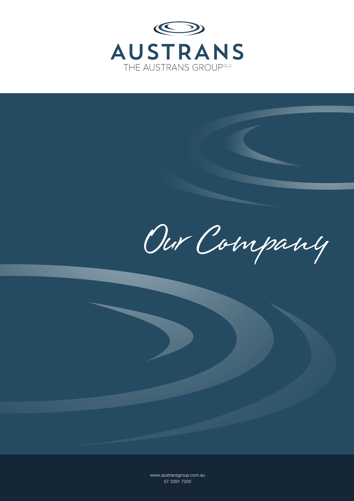

Our Company

www.austransgroup.com.au 07 3281 7200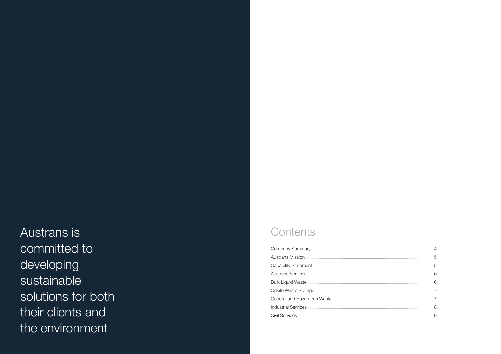Austrans is committed to developing sustainable solutions for both their clients and the environment

## Contents

| Onsite Waste Storage        |
|-----------------------------|
| General and Hazardous Waste |
|                             |
|                             |

|  |  |  |  |  |  |  |  |  |  |  |  |  |  |  |  |  |  |  |  |  |  |  | 4 |
|--|--|--|--|--|--|--|--|--|--|--|--|--|--|--|--|--|--|--|--|--|--|--|---|
|  |  |  |  |  |  |  |  |  |  |  |  |  |  |  |  |  |  |  |  |  |  |  | 5 |
|  |  |  |  |  |  |  |  |  |  |  |  |  |  |  |  |  |  |  |  |  |  |  | 5 |
|  |  |  |  |  |  |  |  |  |  |  |  |  |  |  |  |  |  |  |  |  |  |  |   |
|  |  |  |  |  |  |  |  |  |  |  |  |  |  |  |  |  |  |  |  |  |  |  |   |
|  |  |  |  |  |  |  |  |  |  |  |  |  |  |  |  |  |  |  |  |  |  |  |   |
|  |  |  |  |  |  |  |  |  |  |  |  |  |  |  |  |  |  |  |  |  |  |  |   |
|  |  |  |  |  |  |  |  |  |  |  |  |  |  |  |  |  |  |  |  |  |  |  | 8 |
|  |  |  |  |  |  |  |  |  |  |  |  |  |  |  |  |  |  |  |  |  |  |  |   |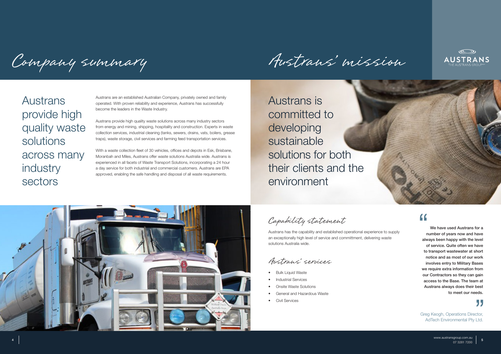Company summary

Austrans are an established Australian Company, privately owned and family operated. With proven reliability and experience, Austrans has successfully become the leaders in the Waste Industry.

Austrans provide high quality waste solutions across many industry sectors from energy and mining, shipping, hospitality and construction. Experts in waste collection services, industrial cleaning (tanks, sewers, drains, vats, boilers, grease traps), waste storage, civil services and farming feed transportation services.

With a waste collection fleet of 30 vehicles, offices and depots in Esk, Brisbane, Moranbah and Miles, Austrans offer waste solutions Australia wide. Austrans is experienced in all facets of Waste Transport Solutions, incorporating a 24 hour a day service for both industrial and commercial customers. Austrans are EPA approved, enabling the safe handling and disposal of all waste requirements.

- Bulk Liquid Waste
- Industrial Services
- Onsite Waste Solutions
- General and Hazardous Waste
- Civil Services







"

Austrans provide high quality waste solutions across many industry sectors

> Greg Keogh, Operations Director, AdTech Environmental Pty Ltd.

We have used Austrans for a number of years now and have always been happy with the level of service. Quite often we have to transport wastewater at short notice and as most of our work involves entry to Military Bases we require extra information from our Contractors so they can gain access to the Base. The team at Austrans always does their best to meet our needs.

## 55

Austrans' mission

Austrans is committed to developing sustainable solutions for both their clients and the environment



Capability statement

Austrans has the capability and established operational experience to supply an exceptionally high level of service and committment, delivering waste solutions Australia wide.

Austrans' services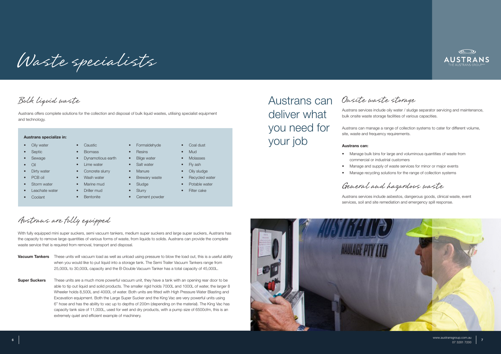Waste specialists

### Austrans are fully equipped

With fully equipped mini super suckers, semi vacuum tankers, medium super suckers and large super suckers, Austrans has the capacity to remove large quantities of various forms of waste, from liquids to solids. Austrans can provide the complete waste service that is required from removal, transport and disposal.

- **Vacuum Tankers** These units will vacuum load as well as unload using pressure to blow the load out, this is a useful ability when you would like to put liquid into a storage tank. The Semi Trailer Vacuum Tankers range from 25,000L to 30,000L capacity and the B-Double Vacuum Tanker has a total capacity of 45,000L.
- **Super Suckers** These units are a much more powerful vacuum unit, they have a tank with an opening rear door to be able to tip out liquid and solid products. The smaller rigid holds 7000L and 1000L of water, the larger 8 Wheeler holds 8,500L and 4000L of water. Both units are fitted with High Pressure Water Blasting and Excavation equipment. Both the Large Super Sucker and the King Vac are very powerful units using 6" hose and has the ability to vac up to depths of 200m (depending on the material). The King Vac has capacity tank size of 11,000L, used for wet and dry products, with a pump size of 6500cfm, this is an extremely quiet and efficient example of machinery.





- Coal dust • Mud
- Molasses
- Fly ash
- Oily sludge
- Recycled water
- 
- 
- Potable water
- 
- 
- 
- 
- 
- 
- 

Austrans can manage a range of collection systems to cater for different volume, site, waste and frequency requirements.

Bulk liquid waste

Austrans offers complete solutions for the collection and disposal of bulk liquid wastes, utilising specialist equipment and technology.

#### **Austrans specialize in:**

- Oily water
- Septic
- Sewage
- Oil
- Dirty water
- PCB oil
- Storm water
- Leachate water
- Coolant
- Caustic • Biomass
- Dynamotious earth
- Lime water
- Concrete slurry
- Wash water
- Marine mud
- Driller mud
- Bentonite
- Resins • Bilge water • Salt water • Manure

**Formaldehyde** 

- Brewary waste
- Sludge
	- Slurry
	- Cement powder

## • Filter cake

# Austrans can deliver what you need for your job



Onsite waste storage

Austrans services include oily water / sludge separator servicing and maintenance, bulk onsite waste storage facilities of various capacities.

### **Austrans can:**

• Manage bulk bins for large and voluminous quantities of waste from commercial or industrial customers

- 
- Manage and supply of waste services for minor or major events
- Manage recycling solutions for the range of collection systems

General and hazardous waste

Austrans services include asbestos, dangerous goods, clinical waste, event services, soil and site remediation and emergency spill response.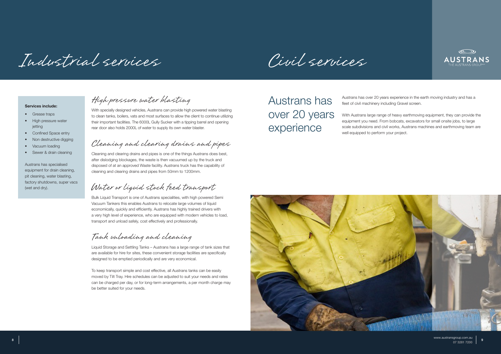Industrial services

High pressure water blasting

With specially designed vehicles, Austrans can provide high powered water blasting to clean tanks, boilers, vats and most surfaces to allow the client to continue utilizing their important facilities. The 6000L Gully Sucker with a tipping barrel and opening rear door also holds 2000L of water to supply its own water blaster.

### Cleaning and clearing drains and pipes

Cleaning and clearing drains and pipes is one of the things Austrans does best, after dislodging blockages, the waste is then vacuumed up by the truck and disposed of at an approved Waste facility. Austrans truck has the capability of cleaning and clearing drains and pipes from 50mm to 1200mm.

Water or liquid stock feed transport

- Grease traps
- High pressure water jetting
- Confined Space entry
- Non destructive digging
- Vacuum loading
- Sewer & drain cleaning

Bulk Liquid Transport is one of Austrans specialities, with high powered Semi Vacuum Tankers this enables Austrans to relocate large volumes of liquid economically, quickly and efficiently. Austrans has highly trained drivers with a very high level of experience, who are equipped with modern vehicles to load, transport and unload safely, cost effectively and professionally.

Tank unloading and cleaning

Liquid Storage and Settling Tanks – Austrans has a large range of tank sizes that are available for hire for sites, these convenient storage facilities are specifically designed to be emptied periodically and are very economical.

To keep transport simple and cost effective, all Austrans tanks can be easily moved by Tilt Tray. Hire schedules can be adjusted to suit your needs and rates can be charged per day, or for long-term arrangements, a per month charge may be better suited for your needs.

#### **Services include:**

Austrans has specialised equipment for drain cleaning, pit cleaning, water blasting, factory shutdowns, super vacs (wet and dry).

Civil services

Austrans has over 20 years experience

Austrans has over 20 years experience in the earth moving industry and has a fleet of civil machinery including Gravel screen.

With Austrans large range of heavy earthmoving equipment, they can provide the equipment you need. From bobcats, excavators for small onsite jobs, to large scale subdivisions and civil works, Austrans machines and earthmoving team are well equipped to perform your project.



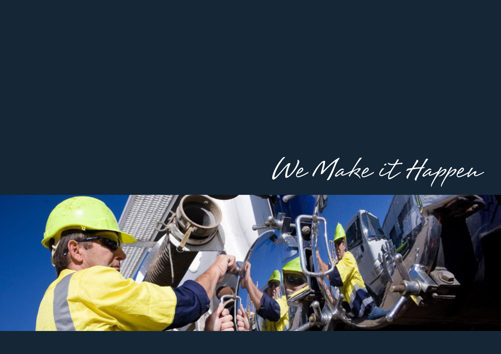